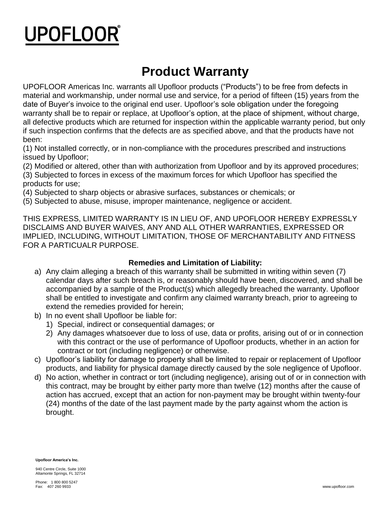# **UPOFLOOR**

### **Product Warranty**

UPOFLOOR Americas Inc. warrants all Upofloor products ("Products") to be free from defects in material and workmanship, under normal use and service, for a period of fifteen (15) years from the date of Buyer's invoice to the original end user. Upofloor's sole obligation under the foregoing warranty shall be to repair or replace, at Upofloor's option, at the place of shipment, without charge, all defective products which are returned for inspection within the applicable warranty period, but only if such inspection confirms that the defects are as specified above, and that the products have not been:

(1) Not installed correctly, or in non-compliance with the procedures prescribed and instructions issued by Upofloor;

(2) Modified or altered, other than with authorization from Upofloor and by its approved procedures; (3) Subjected to forces in excess of the maximum forces for which Upofloor has specified the products for use;

(4) Subjected to sharp objects or abrasive surfaces, substances or chemicals; or

(5) Subjected to abuse, misuse, improper maintenance, negligence or accident.

THIS EXPRESS, LIMITED WARRANTY IS IN LIEU OF, AND UPOFLOOR HEREBY EXPRESSLY DISCLAIMS AND BUYER WAIVES, ANY AND ALL OTHER WARRANTIES, EXPRESSED OR IMPLIED, INCLUDING, WITHOUT LIMITATION, THOSE OF MERCHANTABILITY AND FITNESS FOR A PARTICUALR PURPOSE.

#### **Remedies and Limitation of Liability:**

- a) Any claim alleging a breach of this warranty shall be submitted in writing within seven (7) calendar days after such breach is, or reasonably should have been, discovered, and shall be accompanied by a sample of the Product(s) which allegedly breached the warranty. Upofloor shall be entitled to investigate and confirm any claimed warranty breach, prior to agreeing to extend the remedies provided for herein;
- b) In no event shall Upofloor be liable for:
	- 1) Special, indirect or consequential damages; or
	- 2) Any damages whatsoever due to loss of use, data or profits, arising out of or in connection with this contract or the use of performance of Upofloor products, whether in an action for contract or tort (including negligence) or otherwise.
- c) Upofloor's liability for damage to property shall be limited to repair or replacement of Upofloor products, and liability for physical damage directly caused by the sole negligence of Upofloor.
- d) No action, whether in contract or tort (including negligence), arising out of or in connection with this contract, may be brought by either party more than twelve (12) months after the cause of action has accrued, except that an action for non-payment may be brought within twenty-four (24) months of the date of the last payment made by the party against whom the action is brought.

**Upofloor America's Inc.** 

940 Centre Circle, Suite 1000 Altamonte Springs, FL 32714